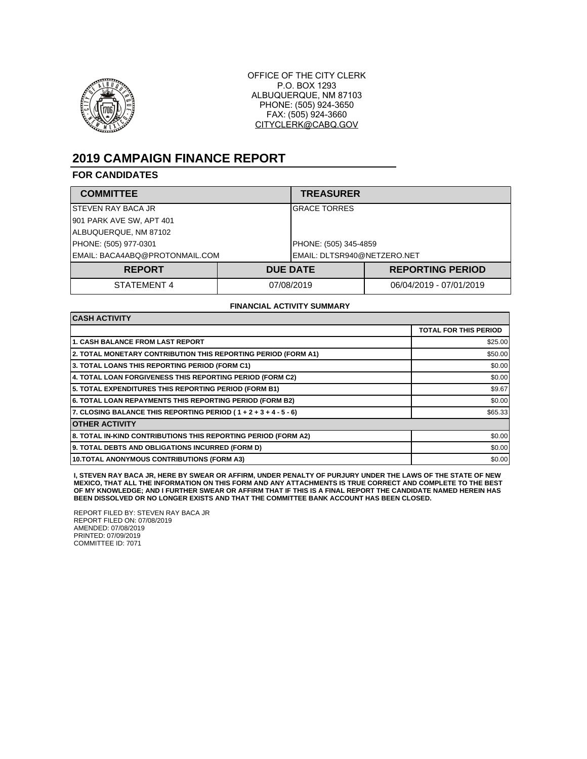

OFFICE OF THE CITY CLERK P.O. BOX 1293 ALBUQUERQUE, NM 87103 PHONE: (505) 924-3650 FAX: (505) 924-3660 CITYCLERK@CABQ.GOV

# **2019 CAMPAIGN FINANCE REPORT**

### **FOR CANDIDATES**

| <b>COMMITTEE</b>               |                             | <b>TREASURER</b>      |                         |  |
|--------------------------------|-----------------------------|-----------------------|-------------------------|--|
| ISTEVEN RAY BACA JR            |                             | <b>GRACE TORRES</b>   |                         |  |
| 901 PARK AVE SW, APT 401       |                             |                       |                         |  |
| ALBUQUERQUE, NM 87102          |                             |                       |                         |  |
| PHONE: (505) 977-0301          |                             | PHONE: (505) 345-4859 |                         |  |
| EMAIL: BACA4ABQ@PROTONMAIL.COM | EMAIL: DLTSR940@NETZERO.NET |                       |                         |  |
| <b>REPORT</b>                  |                             | <b>DUE DATE</b>       | <b>REPORTING PERIOD</b> |  |
| STATEMENT 4                    | 07/08/2019                  |                       | 06/04/2019 - 07/01/2019 |  |

#### **FINANCIAL ACTIVITY SUMMARY**

| <b>CASH ACTIVITY</b>                                                 |                              |  |
|----------------------------------------------------------------------|------------------------------|--|
|                                                                      | <b>TOTAL FOR THIS PERIOD</b> |  |
| <b>1. CASH BALANCE FROM LAST REPORT</b>                              | \$25.00                      |  |
| 2. TOTAL MONETARY CONTRIBUTION THIS REPORTING PERIOD (FORM A1)       | \$50.00                      |  |
| 3. TOTAL LOANS THIS REPORTING PERIOD (FORM C1)                       | \$0.00                       |  |
| 4. TOTAL LOAN FORGIVENESS THIS REPORTING PERIOD (FORM C2)            | \$0.00                       |  |
| 5. TOTAL EXPENDITURES THIS REPORTING PERIOD (FORM B1)                | \$9.67                       |  |
| <b>6. TOTAL LOAN REPAYMENTS THIS REPORTING PERIOD (FORM B2)</b>      | \$0.00                       |  |
| 7. CLOSING BALANCE THIS REPORTING PERIOD ( $1 + 2 + 3 + 4 - 5 - 6$ ) | \$65.33                      |  |
| <b>OTHER ACTIVITY</b>                                                |                              |  |
| 8. TOTAL IN-KIND CONTRIBUTIONS THIS REPORTING PERIOD (FORM A2)       | \$0.00                       |  |
| 9. TOTAL DEBTS AND OBLIGATIONS INCURRED (FORM D)                     | \$0.00                       |  |
| <b>10.TOTAL ANONYMOUS CONTRIBUTIONS (FORM A3)</b>                    | \$0.00                       |  |

I, STEVEN RAY BACA JR, HERE BY SWEAR OR AFFIRM, UNDER PENALTY OF PURJURY UNDER THE LAWS OF THE STATE OF NEW<br>MEXICO, THAT ALL THE INFORMATION ON THIS FORM AND ANY ATTACHMENTS IS TRUE CORRECT AND COMPLETE TO THE BEST **OF MY KNOWLEDGE; AND I FURTHER SWEAR OR AFFIRM THAT IF THIS IS A FINAL REPORT THE CANDIDATE NAMED HEREIN HAS BEEN DISSOLVED OR NO LONGER EXISTS AND THAT THE COMMITTEE BANK ACCOUNT HAS BEEN CLOSED.**

REPORT FILED BY: STEVEN RAY BACA JR REPORT FILED ON: 07/08/2019 AMENDED: 07/08/2019 PRINTED: 07/09/2019 COMMITTEE ID: 7071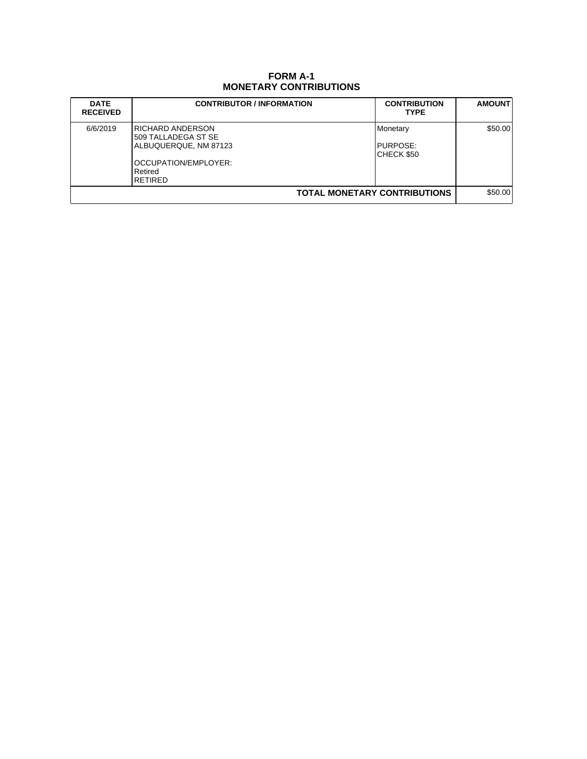## **FORM A-1 MONETARY CONTRIBUTIONS**

| <b>DATE</b><br><b>RECEIVED</b> | <b>CONTRIBUTOR / INFORMATION</b>                                                                                | <b>CONTRIBUTION</b><br><b>TYPE</b>         | <b>AMOUNT</b> |
|--------------------------------|-----------------------------------------------------------------------------------------------------------------|--------------------------------------------|---------------|
| 6/6/2019                       | IRICHARD ANDERSON<br>509 TALLADEGA ST SE<br>ALBUQUERQUE, NM 87123<br>OCCUPATION/EMPLOYER:<br>Retired<br>RETIRED | Monetary<br><b>IPURPOSE:</b><br>CHECK \$50 | \$50.00       |
| TOTAL MONETARY CONTRIBUTIONS   |                                                                                                                 |                                            | \$50.00       |